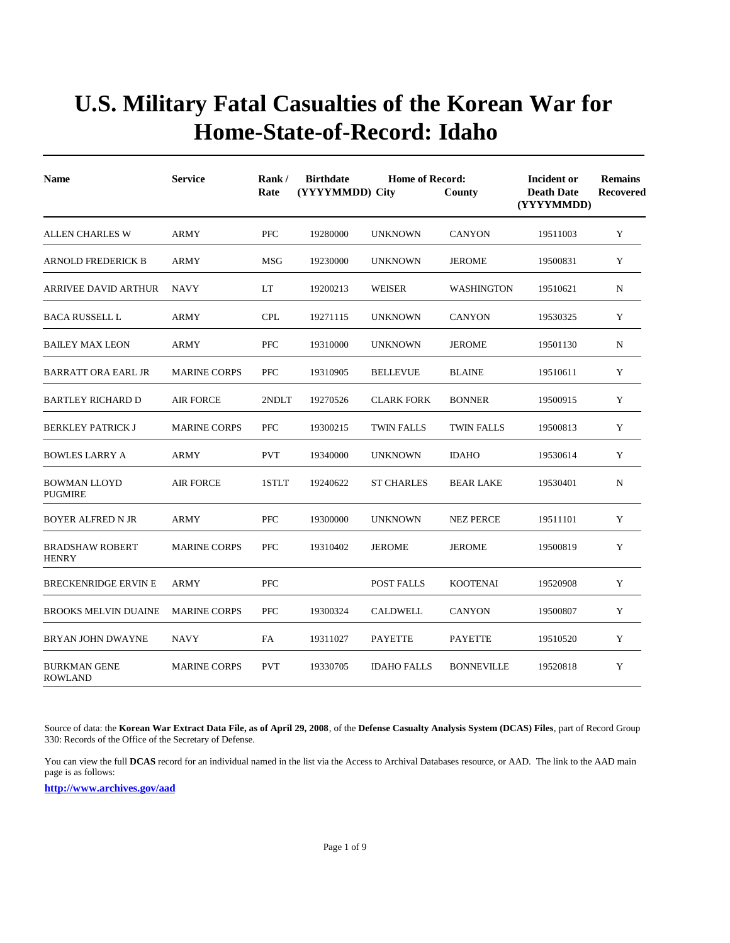| <b>Name</b>                            | <b>Service</b>      | <b>Home of Record:</b><br>Rank/<br><b>Birthdate</b><br>Rate<br>(YYYYMMDD) City<br>County |          |                    |                   | Incident or<br><b>Death Date</b><br>(YYYYMMDD) | <b>Remains</b><br>Recovered |  |
|----------------------------------------|---------------------|------------------------------------------------------------------------------------------|----------|--------------------|-------------------|------------------------------------------------|-----------------------------|--|
| <b>ALLEN CHARLES W</b>                 | <b>ARMY</b>         | <b>PFC</b>                                                                               | 19280000 | <b>UNKNOWN</b>     | <b>CANYON</b>     | 19511003                                       | Y                           |  |
| <b>ARNOLD FREDERICK B</b>              | <b>ARMY</b>         | <b>MSG</b>                                                                               | 19230000 | <b>UNKNOWN</b>     | <b>JEROME</b>     | 19500831                                       | Y                           |  |
| <b>ARRIVEE DAVID ARTHUR</b>            | <b>NAVY</b>         | LT                                                                                       | 19200213 | WEISER             | <b>WASHINGTON</b> | 19510621                                       | N                           |  |
| <b>BACA RUSSELL L</b>                  | ARMY                | <b>CPL</b>                                                                               | 19271115 | <b>UNKNOWN</b>     | <b>CANYON</b>     | 19530325                                       | Y                           |  |
| <b>BAILEY MAX LEON</b>                 | <b>ARMY</b>         | <b>PFC</b>                                                                               | 19310000 | <b>UNKNOWN</b>     | <b>JEROME</b>     | 19501130                                       | N                           |  |
| BARRATT ORA EARL JR                    | <b>MARINE CORPS</b> | <b>PFC</b>                                                                               | 19310905 | <b>BELLEVUE</b>    | <b>BLAINE</b>     | 19510611                                       | Y                           |  |
| <b>BARTLEY RICHARD D</b>               | <b>AIR FORCE</b>    | 2NDLT                                                                                    | 19270526 | <b>CLARK FORK</b>  | <b>BONNER</b>     | 19500915                                       | Y                           |  |
| <b>BERKLEY PATRICK J</b>               | <b>MARINE CORPS</b> | <b>PFC</b>                                                                               | 19300215 | <b>TWIN FALLS</b>  | <b>TWIN FALLS</b> | 19500813                                       | Y                           |  |
| <b>BOWLES LARRY A</b>                  | <b>ARMY</b>         | <b>PVT</b>                                                                               | 19340000 | <b>UNKNOWN</b>     | <b>IDAHO</b>      | 19530614                                       | Y                           |  |
| <b>BOWMAN LLOYD</b><br><b>PUGMIRE</b>  | <b>AIR FORCE</b>    | 1STLT                                                                                    | 19240622 | <b>ST CHARLES</b>  | <b>BEAR LAKE</b>  | 19530401                                       | N                           |  |
| <b>BOYER ALFRED N JR</b>               | ARMY                | <b>PFC</b>                                                                               | 19300000 | <b>UNKNOWN</b>     | <b>NEZ PERCE</b>  | 19511101                                       | Y                           |  |
| <b>BRADSHAW ROBERT</b><br><b>HENRY</b> | <b>MARINE CORPS</b> | <b>PFC</b>                                                                               | 19310402 | <b>JEROME</b>      | <b>JEROME</b>     | 19500819                                       | Y                           |  |
| <b>BRECKENRIDGE ERVIN E</b>            | ARMY                | <b>PFC</b>                                                                               |          | POST FALLS         | <b>KOOTENAI</b>   | 19520908                                       | Y                           |  |
| <b>BROOKS MELVIN DUAINE</b>            | <b>MARINE CORPS</b> | <b>PFC</b>                                                                               | 19300324 | <b>CALDWELL</b>    | <b>CANYON</b>     | 19500807                                       | Y                           |  |
| BRYAN JOHN DWAYNE                      | <b>NAVY</b>         | <b>FA</b>                                                                                | 19311027 | <b>PAYETTE</b>     | <b>PAYETTE</b>    | 19510520                                       | Y                           |  |
| <b>BURKMAN GENE</b><br><b>ROWLAND</b>  | <b>MARINE CORPS</b> | <b>PVT</b>                                                                               | 19330705 | <b>IDAHO FALLS</b> | <b>BONNEVILLE</b> | 19520818                                       | Y                           |  |

Source of data: the **Korean War Extract Data File, as of April 29, 2008**, of the **Defense Casualty Analysis System (DCAS) Files**, part of Record Group 330: Records of the Office of the Secretary of Defense.

You can view the full **DCAS** record for an individual named in the list via the Access to Archival Databases resource, or AAD. The link to the AAD main page is as follows: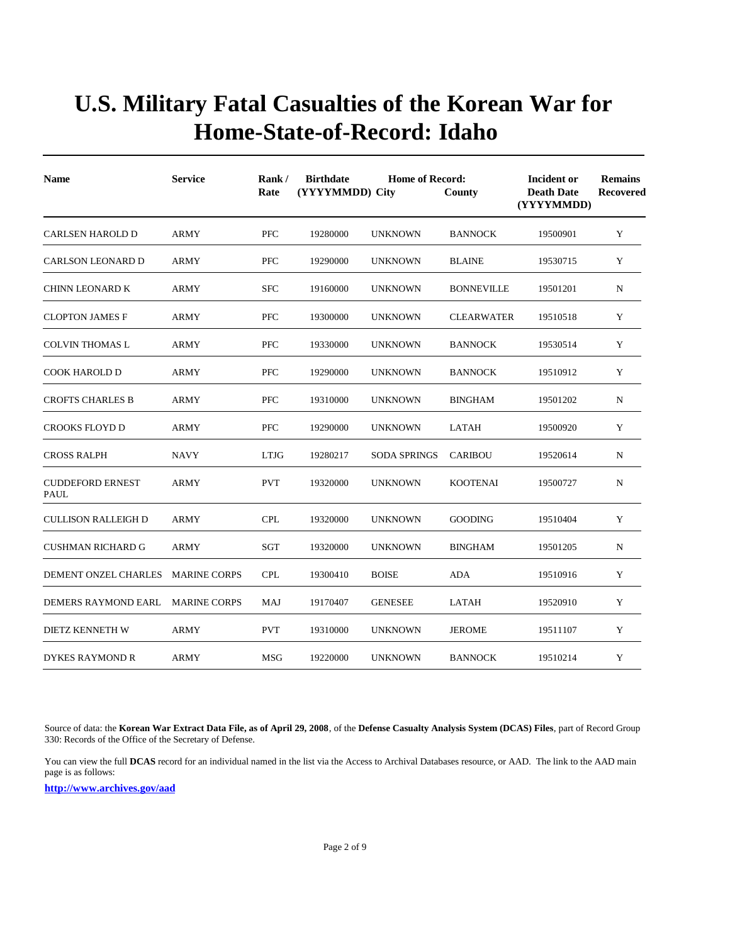| <b>Name</b>                            | <b>Service</b>      | Rank/<br>Rate | <b>Birthdate</b><br>(YYYYMMDD) City | <b>Home of Record:</b> | County            | <b>Incident or</b><br><b>Death Date</b><br>(YYYYMMDD) | <b>Remains</b><br>Recovered |
|----------------------------------------|---------------------|---------------|-------------------------------------|------------------------|-------------------|-------------------------------------------------------|-----------------------------|
| <b>CARLSEN HAROLD D</b>                | ARMY                | <b>PFC</b>    | 19280000                            | <b>UNKNOWN</b>         | <b>BANNOCK</b>    | 19500901                                              | Y                           |
| <b>CARLSON LEONARD D</b>               | <b>ARMY</b>         | <b>PFC</b>    | 19290000                            | <b>UNKNOWN</b>         | <b>BLAINE</b>     | 19530715                                              | Y                           |
| <b>CHINN LEONARD K</b>                 | <b>ARMY</b>         | <b>SFC</b>    | 19160000                            | <b>UNKNOWN</b>         | <b>BONNEVILLE</b> | 19501201                                              | N                           |
| <b>CLOPTON JAMES F</b>                 | <b>ARMY</b>         | <b>PFC</b>    | 19300000                            | <b>UNKNOWN</b>         | <b>CLEARWATER</b> | 19510518                                              | Y                           |
| <b>COLVIN THOMAS L</b>                 | <b>ARMY</b>         | <b>PFC</b>    | 19330000                            | <b>UNKNOWN</b>         | <b>BANNOCK</b>    | 19530514                                              | Y                           |
| <b>COOK HAROLD D</b>                   | <b>ARMY</b>         | <b>PFC</b>    | 19290000                            | <b>UNKNOWN</b>         | <b>BANNOCK</b>    | 19510912                                              | Y                           |
| <b>CROFTS CHARLES B</b>                | <b>ARMY</b>         | <b>PFC</b>    | 19310000                            | <b>UNKNOWN</b>         | <b>BINGHAM</b>    | 19501202                                              | N                           |
| CROOKS FLOYD D                         | ARMY                | <b>PFC</b>    | 19290000                            | <b>UNKNOWN</b>         | LATAH             | 19500920                                              | Y                           |
| <b>CROSS RALPH</b>                     | <b>NAVY</b>         | <b>LTJG</b>   | 19280217                            | <b>SODA SPRINGS</b>    | <b>CARIBOU</b>    | 19520614                                              | N                           |
| <b>CUDDEFORD ERNEST</b><br><b>PAUL</b> | <b>ARMY</b>         | <b>PVT</b>    | 19320000                            | <b>UNKNOWN</b>         | <b>KOOTENAI</b>   | 19500727                                              | $\mathbf N$                 |
| <b>CULLISON RALLEIGH D</b>             | <b>ARMY</b>         | <b>CPL</b>    | 19320000                            | <b>UNKNOWN</b>         | <b>GOODING</b>    | 19510404                                              | Y                           |
| <b>CUSHMAN RICHARD G</b>               | <b>ARMY</b>         | SGT           | 19320000                            | <b>UNKNOWN</b>         | <b>BINGHAM</b>    | 19501205                                              | N                           |
| DEMENT ONZEL CHARLES                   | <b>MARINE CORPS</b> | <b>CPL</b>    | 19300410                            | <b>BOISE</b>           | <b>ADA</b>        | 19510916                                              | Y                           |
| DEMERS RAYMOND EARL                    | <b>MARINE CORPS</b> | MAJ           | 19170407                            | <b>GENESEE</b>         | <b>LATAH</b>      | 19520910                                              | Y                           |
| <b>DIETZ KENNETH W</b>                 | <b>ARMY</b>         | <b>PVT</b>    | 19310000                            | <b>UNKNOWN</b>         | <b>JEROME</b>     | 19511107                                              | Y                           |
| DYKES RAYMOND R                        | ARMY                | <b>MSG</b>    | 19220000                            | <b>UNKNOWN</b>         | <b>BANNOCK</b>    | 19510214                                              | Y                           |

Source of data: the **Korean War Extract Data File, as of April 29, 2008**, of the **Defense Casualty Analysis System (DCAS) Files**, part of Record Group 330: Records of the Office of the Secretary of Defense.

You can view the full **DCAS** record for an individual named in the list via the Access to Archival Databases resource, or AAD. The link to the AAD main page is as follows: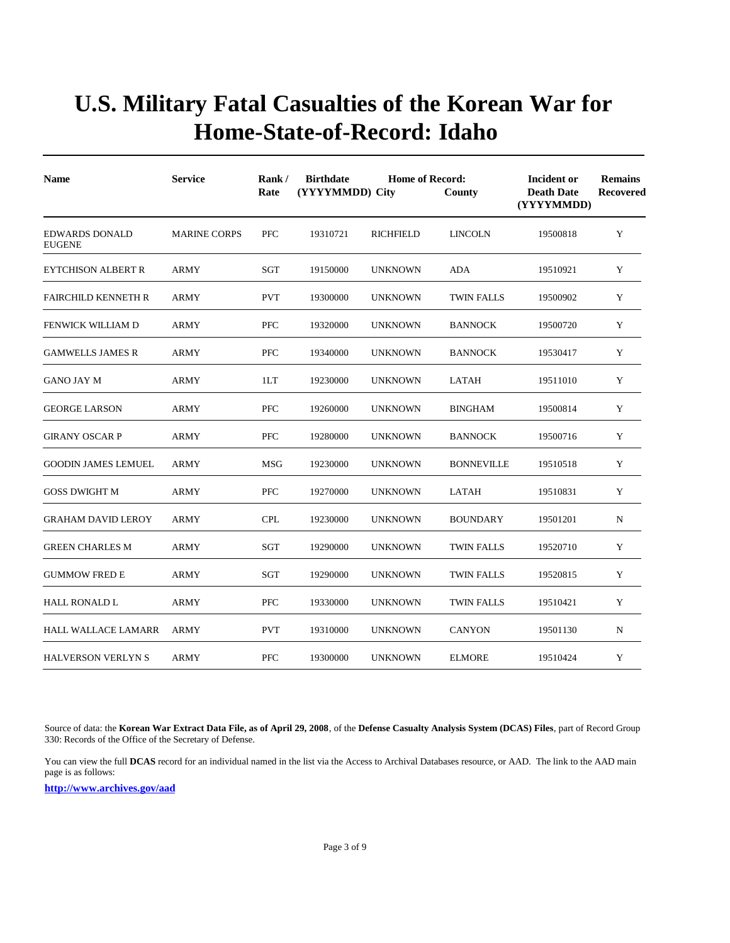| <b>Name</b>                            | <b>Service</b>      | Rank/<br><b>Birthdate</b><br><b>Home of Record:</b><br>(YYYYMMDD) City<br>Rate<br>County |          |                  |                   | <b>Incident or</b><br><b>Death Date</b><br>(YYYYMMDD) | <b>Remains</b><br>Recovered |  |
|----------------------------------------|---------------------|------------------------------------------------------------------------------------------|----------|------------------|-------------------|-------------------------------------------------------|-----------------------------|--|
| <b>EDWARDS DONALD</b><br><b>EUGENE</b> | <b>MARINE CORPS</b> | PFC                                                                                      | 19310721 | <b>RICHFIELD</b> | <b>LINCOLN</b>    | 19500818                                              | Y                           |  |
| <b>EYTCHISON ALBERT R</b>              | <b>ARMY</b>         | SGT                                                                                      | 19150000 | <b>UNKNOWN</b>   | <b>ADA</b>        | 19510921                                              | Y                           |  |
| <b>FAIRCHILD KENNETH R</b>             | <b>ARMY</b>         | <b>PVT</b>                                                                               | 19300000 | <b>UNKNOWN</b>   | <b>TWIN FALLS</b> | 19500902                                              | Y                           |  |
| <b>FENWICK WILLIAM D</b>               | <b>ARMY</b>         | <b>PFC</b>                                                                               | 19320000 | <b>UNKNOWN</b>   | <b>BANNOCK</b>    | 19500720                                              | Y                           |  |
| <b>GAMWELLS JAMES R</b>                | ARMY                | <b>PFC</b>                                                                               | 19340000 | <b>UNKNOWN</b>   | <b>BANNOCK</b>    | 19530417                                              | Y                           |  |
| GANO JAY M                             | <b>ARMY</b>         | 1LT                                                                                      | 19230000 | <b>UNKNOWN</b>   | LATAH             | 19511010                                              | Y                           |  |
| <b>GEORGE LARSON</b>                   | <b>ARMY</b>         | <b>PFC</b>                                                                               | 19260000 | <b>UNKNOWN</b>   | <b>BINGHAM</b>    | 19500814                                              | Y                           |  |
| <b>GIRANY OSCAR P</b>                  | <b>ARMY</b>         | <b>PFC</b>                                                                               | 19280000 | <b>UNKNOWN</b>   | <b>BANNOCK</b>    | 19500716                                              | Y                           |  |
| <b>GOODIN JAMES LEMUEL</b>             | <b>ARMY</b>         | <b>MSG</b>                                                                               | 19230000 | <b>UNKNOWN</b>   | <b>BONNEVILLE</b> | 19510518                                              | Y                           |  |
| <b>GOSS DWIGHT M</b>                   | <b>ARMY</b>         | <b>PFC</b>                                                                               | 19270000 | <b>UNKNOWN</b>   | <b>LATAH</b>      | 19510831                                              | Y                           |  |
| <b>GRAHAM DAVID LEROY</b>              | <b>ARMY</b>         | <b>CPL</b>                                                                               | 19230000 | <b>UNKNOWN</b>   | <b>BOUNDARY</b>   | 19501201                                              | N                           |  |
| <b>GREEN CHARLES M</b>                 | <b>ARMY</b>         | SGT                                                                                      | 19290000 | <b>UNKNOWN</b>   | <b>TWIN FALLS</b> | 19520710                                              | Y                           |  |
| <b>GUMMOW FRED E</b>                   | <b>ARMY</b>         | SGT                                                                                      | 19290000 | <b>UNKNOWN</b>   | <b>TWIN FALLS</b> | 19520815                                              | Y                           |  |
| <b>HALL RONALD L</b>                   | <b>ARMY</b>         | <b>PFC</b>                                                                               | 19330000 | <b>UNKNOWN</b>   | <b>TWIN FALLS</b> | 19510421                                              | Y                           |  |
| <b>HALL WALLACE LAMARR</b>             | <b>ARMY</b>         | <b>PVT</b>                                                                               | 19310000 | <b>UNKNOWN</b>   | <b>CANYON</b>     | 19501130                                              | N                           |  |
| <b>HALVERSON VERLYN S</b>              | <b>ARMY</b>         | <b>PFC</b>                                                                               | 19300000 | <b>UNKNOWN</b>   | <b>ELMORE</b>     | 19510424                                              | Y                           |  |

Source of data: the **Korean War Extract Data File, as of April 29, 2008**, of the **Defense Casualty Analysis System (DCAS) Files**, part of Record Group 330: Records of the Office of the Secretary of Defense.

You can view the full **DCAS** record for an individual named in the list via the Access to Archival Databases resource, or AAD. The link to the AAD main page is as follows: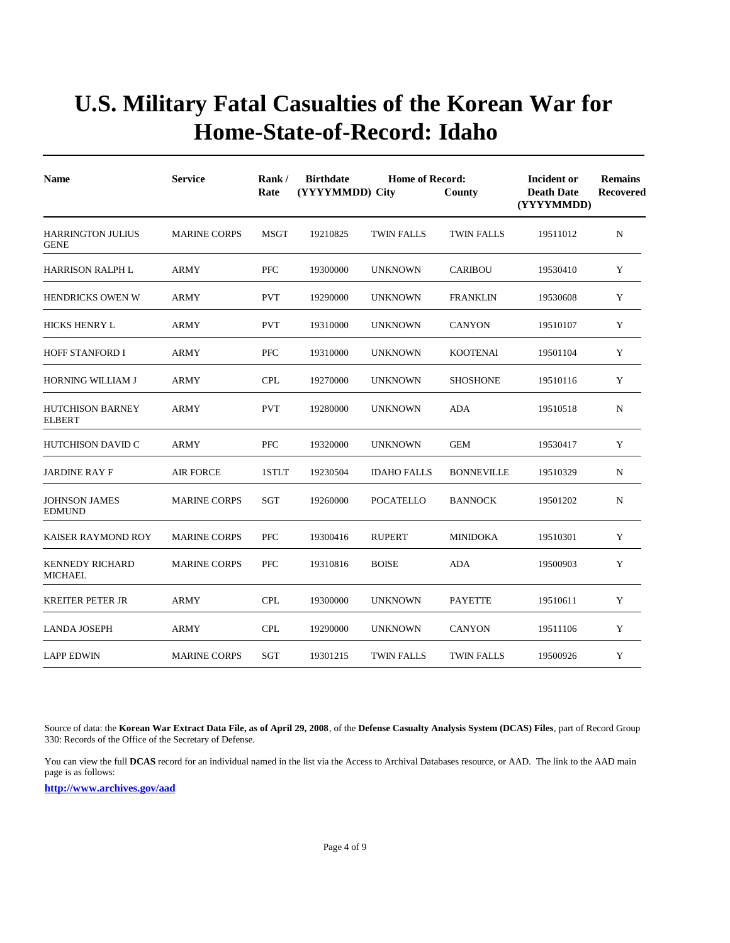| <b>Name</b>                              | <b>Service</b>      | Rank/<br>Rate | <b>Birthdate</b><br>(YYYYMMDD) City | <b>Home of Record:</b> | County            | Incident or<br><b>Death Date</b><br>(YYYYMMDD) | <b>Remains</b><br><b>Recovered</b> |
|------------------------------------------|---------------------|---------------|-------------------------------------|------------------------|-------------------|------------------------------------------------|------------------------------------|
| <b>HARRINGTON JULIUS</b><br><b>GENE</b>  | <b>MARINE CORPS</b> | <b>MSGT</b>   | 19210825                            | <b>TWIN FALLS</b>      | <b>TWIN FALLS</b> | 19511012                                       | N                                  |
| <b>HARRISON RALPH L</b>                  | ARMY                | PFC           | 19300000                            | <b>UNKNOWN</b>         | <b>CARIBOU</b>    | 19530410                                       | Y                                  |
| <b>HENDRICKS OWEN W</b>                  | <b>ARMY</b>         | <b>PVT</b>    | 19290000                            | <b>UNKNOWN</b>         | <b>FRANKLIN</b>   | 19530608                                       | Y                                  |
| <b>HICKS HENRY L</b>                     | ARMY                | <b>PVT</b>    | 19310000                            | <b>UNKNOWN</b>         | <b>CANYON</b>     | 19510107                                       | Y                                  |
| <b>HOFF STANFORD I</b>                   | <b>ARMY</b>         | <b>PFC</b>    | 19310000                            | <b>UNKNOWN</b>         | <b>KOOTENAI</b>   | 19501104                                       | Y                                  |
| <b>HORNING WILLIAM J</b>                 | <b>ARMY</b>         | <b>CPL</b>    | 19270000                            | <b>UNKNOWN</b>         | <b>SHOSHONE</b>   | 19510116                                       | Y                                  |
| <b>HUTCHISON BARNEY</b><br><b>ELBERT</b> | <b>ARMY</b>         | <b>PVT</b>    | 19280000                            | <b>UNKNOWN</b>         | ADA               | 19510518                                       | N                                  |
| <b>HUTCHISON DAVID C</b>                 | ARMY                | PFC           | 19320000                            | <b>UNKNOWN</b>         | <b>GEM</b>        | 19530417                                       | Y                                  |
| <b>JARDINE RAY F</b>                     | <b>AIR FORCE</b>    | 1STLT         | 19230504                            | <b>IDAHO FALLS</b>     | <b>BONNEVILLE</b> | 19510329                                       | N                                  |
| <b>JOHNSON JAMES</b><br><b>EDMUND</b>    | <b>MARINE CORPS</b> | <b>SGT</b>    | 19260000                            | <b>POCATELLO</b>       | <b>BANNOCK</b>    | 19501202                                       | N                                  |
| <b>KAISER RAYMOND ROY</b>                | <b>MARINE CORPS</b> | <b>PFC</b>    | 19300416                            | <b>RUPERT</b>          | <b>MINIDOKA</b>   | 19510301                                       | Y                                  |
| <b>KENNEDY RICHARD</b><br><b>MICHAEL</b> | <b>MARINE CORPS</b> | <b>PFC</b>    | 19310816                            | <b>BOISE</b>           | <b>ADA</b>        | 19500903                                       | Y                                  |
| <b>KREITER PETER JR</b>                  | <b>ARMY</b>         | <b>CPL</b>    | 19300000                            | <b>UNKNOWN</b>         | <b>PAYETTE</b>    | 19510611                                       | Y                                  |
| <b>LANDA JOSEPH</b>                      | ARMY                | <b>CPL</b>    | 19290000                            | <b>UNKNOWN</b>         | <b>CANYON</b>     | 19511106                                       | Y                                  |
| <b>LAPP EDWIN</b>                        | <b>MARINE CORPS</b> | SGT           | 19301215                            | TWIN FALLS             | <b>TWIN FALLS</b> | 19500926                                       | Y                                  |

Source of data: the **Korean War Extract Data File, as of April 29, 2008**, of the **Defense Casualty Analysis System (DCAS) Files**, part of Record Group 330: Records of the Office of the Secretary of Defense.

You can view the full DCAS record for an individual named in the list via the Access to Archival Databases resource, or AAD. The link to the AAD main page is as follows: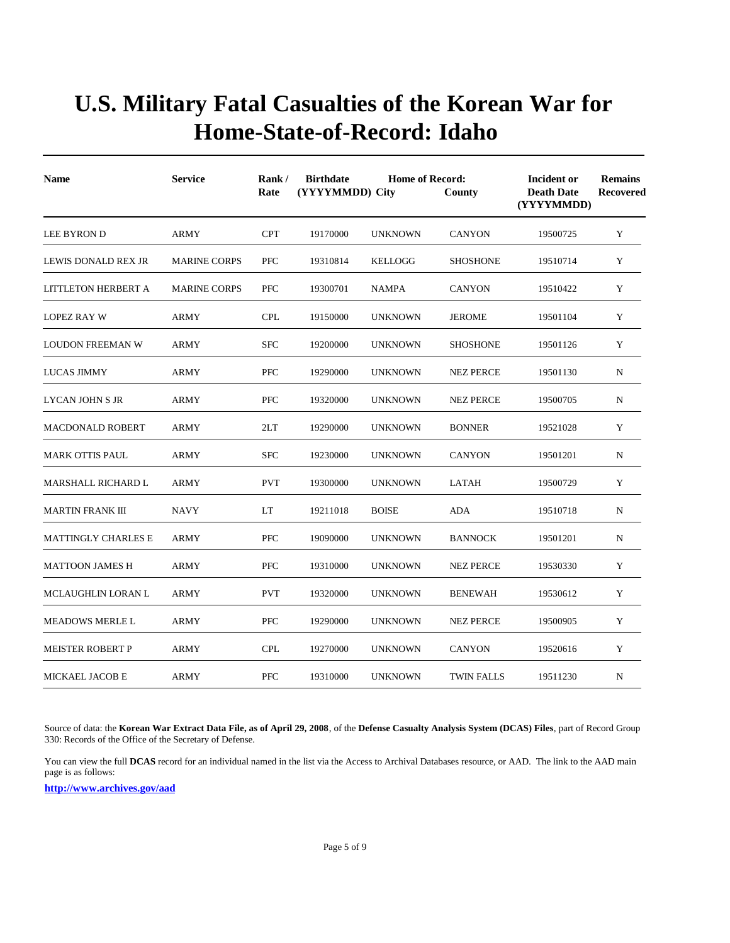| <b>Name</b>                | <b>Service</b>      | Rank/<br>Rate | <b>Birthdate</b><br>(YYYYMMDD) City | <b>Home of Record:</b> | County            | <b>Incident or</b><br><b>Death Date</b><br>(YYYYMMDD) | <b>Remains</b><br><b>Recovered</b> |
|----------------------------|---------------------|---------------|-------------------------------------|------------------------|-------------------|-------------------------------------------------------|------------------------------------|
| LEE BYRON D                | <b>ARMY</b>         | <b>CPT</b>    | 19170000                            | <b>UNKNOWN</b>         | <b>CANYON</b>     | 19500725                                              | Y                                  |
| LEWIS DONALD REX JR        | <b>MARINE CORPS</b> | <b>PFC</b>    | 19310814                            | <b>KELLOGG</b>         | <b>SHOSHONE</b>   | 19510714                                              | Y                                  |
| LITTLETON HERBERT A        | <b>MARINE CORPS</b> | <b>PFC</b>    | 19300701                            | <b>NAMPA</b>           | <b>CANYON</b>     | 19510422                                              | Y                                  |
| <b>LOPEZ RAY W</b>         | <b>ARMY</b>         | <b>CPL</b>    | 19150000                            | <b>UNKNOWN</b>         | <b>JEROME</b>     | 19501104                                              | Y                                  |
| <b>LOUDON FREEMAN W</b>    | <b>ARMY</b>         | <b>SFC</b>    | 19200000                            | <b>UNKNOWN</b>         | <b>SHOSHONE</b>   | 19501126                                              | Y                                  |
| <b>LUCAS JIMMY</b>         | <b>ARMY</b>         | PFC           | 19290000                            | <b>UNKNOWN</b>         | <b>NEZ PERCE</b>  | 19501130                                              | N                                  |
| <b>LYCAN JOHN S JR</b>     | <b>ARMY</b>         | <b>PFC</b>    | 19320000                            | <b>UNKNOWN</b>         | <b>NEZ PERCE</b>  | 19500705                                              | N                                  |
| <b>MACDONALD ROBERT</b>    | <b>ARMY</b>         | 2LT           | 19290000                            | <b>UNKNOWN</b>         | <b>BONNER</b>     | 19521028                                              | Y                                  |
| MARK OTTIS PAUL            | <b>ARMY</b>         | <b>SFC</b>    | 19230000                            | <b>UNKNOWN</b>         | <b>CANYON</b>     | 19501201                                              | $\mathbf N$                        |
| <b>MARSHALL RICHARD L</b>  | <b>ARMY</b>         | <b>PVT</b>    | 19300000                            | <b>UNKNOWN</b>         | LATAH             | 19500729                                              | Y                                  |
| <b>MARTIN FRANK III</b>    | <b>NAVY</b>         | LT            | 19211018                            | <b>BOISE</b>           | <b>ADA</b>        | 19510718                                              | N                                  |
| <b>MATTINGLY CHARLES E</b> | <b>ARMY</b>         | <b>PFC</b>    | 19090000                            | <b>UNKNOWN</b>         | <b>BANNOCK</b>    | 19501201                                              | N                                  |
| <b>MATTOON JAMES H</b>     | <b>ARMY</b>         | <b>PFC</b>    | 19310000                            | <b>UNKNOWN</b>         | <b>NEZ PERCE</b>  | 19530330                                              | Y                                  |
| <b>MCLAUGHLIN LORAN L</b>  | <b>ARMY</b>         | <b>PVT</b>    | 19320000                            | <b>UNKNOWN</b>         | <b>BENEWAH</b>    | 19530612                                              | Y                                  |
| <b>MEADOWS MERLE L</b>     | ARMY                | PFC           | 19290000                            | <b>UNKNOWN</b>         | <b>NEZ PERCE</b>  | 19500905                                              | Y                                  |
| <b>MEISTER ROBERT P</b>    | ARMY                | <b>CPL</b>    | 19270000                            | <b>UNKNOWN</b>         | <b>CANYON</b>     | 19520616                                              | Y                                  |
| MICKAEL JACOB E            | <b>ARMY</b>         | <b>PFC</b>    | 19310000                            | <b>UNKNOWN</b>         | <b>TWIN FALLS</b> | 19511230                                              | N                                  |

Source of data: the **Korean War Extract Data File, as of April 29, 2008**, of the **Defense Casualty Analysis System (DCAS) Files**, part of Record Group 330: Records of the Office of the Secretary of Defense.

You can view the full **DCAS** record for an individual named in the list via the Access to Archival Databases resource, or AAD. The link to the AAD main page is as follows: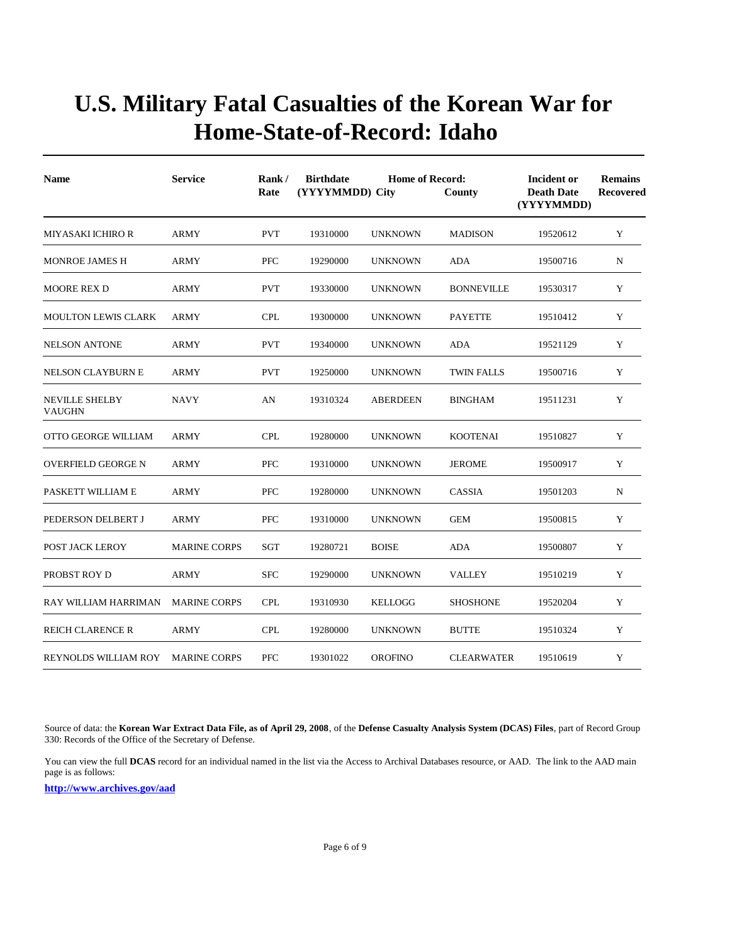| <b>Name</b>                            | <b>Service</b>      | Rank/<br><b>Home of Record:</b><br><b>Birthdate</b><br>(YYYYMMDD) City<br>Rate<br>County |          | <b>Incident or</b><br><b>Death Date</b><br>(YYYYMMDD) | <b>Remains</b><br><b>Recovered</b> |          |             |
|----------------------------------------|---------------------|------------------------------------------------------------------------------------------|----------|-------------------------------------------------------|------------------------------------|----------|-------------|
| MIYASAKI ICHIRO R                      | <b>ARMY</b>         | <b>PVT</b>                                                                               | 19310000 | <b>UNKNOWN</b>                                        | <b>MADISON</b>                     | 19520612 | Y           |
| <b>MONROE JAMES H</b>                  | ARMY                | <b>PFC</b>                                                                               | 19290000 | <b>UNKNOWN</b>                                        | ADA                                | 19500716 | N           |
| <b>MOORE REX D</b>                     | ARMY                | <b>PVT</b>                                                                               | 19330000 | <b>UNKNOWN</b>                                        | <b>BONNEVILLE</b>                  | 19530317 | Y           |
| <b>MOULTON LEWIS CLARK</b>             | <b>ARMY</b>         | <b>CPL</b>                                                                               | 19300000 | <b>UNKNOWN</b>                                        | <b>PAYETTE</b>                     | 19510412 | Y           |
| <b>NELSON ANTONE</b>                   | <b>ARMY</b>         | <b>PVT</b>                                                                               | 19340000 | <b>UNKNOWN</b>                                        | <b>ADA</b>                         | 19521129 | Y           |
| <b>NELSON CLAYBURN E</b>               | <b>ARMY</b>         | <b>PVT</b>                                                                               | 19250000 | <b>UNKNOWN</b>                                        | <b>TWIN FALLS</b>                  | 19500716 | Y           |
| <b>NEVILLE SHELBY</b><br><b>VAUGHN</b> | <b>NAVY</b>         | AN                                                                                       | 19310324 | <b>ABERDEEN</b>                                       | <b>BINGHAM</b>                     | 19511231 | Y           |
| OTTO GEORGE WILLIAM                    | <b>ARMY</b>         | <b>CPL</b>                                                                               | 19280000 | <b>UNKNOWN</b>                                        | <b>KOOTENAI</b>                    | 19510827 | Y           |
| <b>OVERFIELD GEORGE N</b>              | <b>ARMY</b>         | <b>PFC</b>                                                                               | 19310000 | <b>UNKNOWN</b>                                        | <b>JEROME</b>                      | 19500917 | Y           |
| PASKETT WILLIAM E                      | ARMY                | <b>PFC</b>                                                                               | 19280000 | <b>UNKNOWN</b>                                        | <b>CASSIA</b>                      | 19501203 | $\mathbf N$ |
| PEDERSON DELBERT J                     | <b>ARMY</b>         | <b>PFC</b>                                                                               | 19310000 | <b>UNKNOWN</b>                                        | <b>GEM</b>                         | 19500815 | Y           |
| POST JACK LEROY                        | <b>MARINE CORPS</b> | <b>SGT</b>                                                                               | 19280721 | <b>BOISE</b>                                          | ADA                                | 19500807 | Y           |
| PROBST ROY D                           | ARMY                | <b>SFC</b>                                                                               | 19290000 | <b>UNKNOWN</b>                                        | <b>VALLEY</b>                      | 19510219 | Y           |
| RAY WILLIAM HARRIMAN                   | <b>MARINE CORPS</b> | <b>CPL</b>                                                                               | 19310930 | <b>KELLOGG</b>                                        | <b>SHOSHONE</b>                    | 19520204 | Y           |
| <b>REICH CLARENCE R</b>                | <b>ARMY</b>         | <b>CPL</b>                                                                               | 19280000 | <b>UNKNOWN</b>                                        | <b>BUTTE</b>                       | 19510324 | Y           |
| REYNOLDS WILLIAM ROY                   | <b>MARINE CORPS</b> | <b>PFC</b>                                                                               | 19301022 | <b>OROFINO</b>                                        | <b>CLEARWATER</b>                  | 19510619 | Y           |

Source of data: the **Korean War Extract Data File, as of April 29, 2008**, of the **Defense Casualty Analysis System (DCAS) Files**, part of Record Group 330: Records of the Office of the Secretary of Defense.

You can view the full DCAS record for an individual named in the list via the Access to Archival Databases resource, or AAD. The link to the AAD main page is as follows: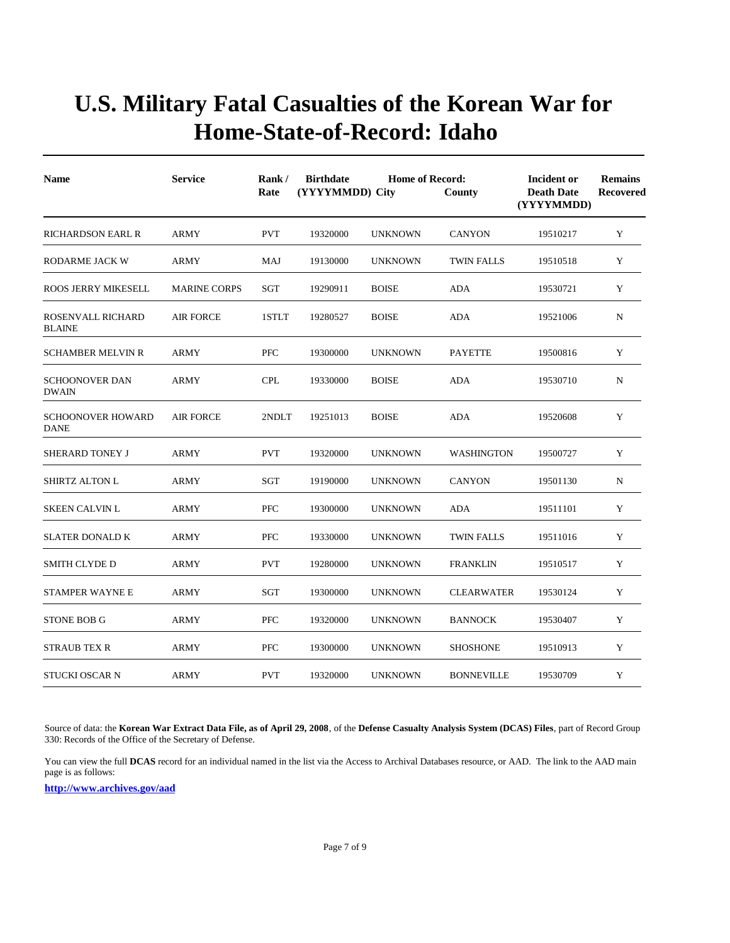| <b>Name</b>                             | <b>Service</b>      | Rank/<br>Rate | <b>Birthdate</b><br>(YYYYMMDD) City | <b>Home of Record:</b> | County            | Incident or<br><b>Death Date</b><br>(YYYYMMDD) | <b>Remains</b><br><b>Recovered</b> |
|-----------------------------------------|---------------------|---------------|-------------------------------------|------------------------|-------------------|------------------------------------------------|------------------------------------|
| <b>RICHARDSON EARL R</b>                | <b>ARMY</b>         | <b>PVT</b>    | 19320000                            | <b>UNKNOWN</b>         | <b>CANYON</b>     | 19510217                                       | Y                                  |
| RODARME JACK W                          | <b>ARMY</b>         | MAJ           | 19130000                            | <b>UNKNOWN</b>         | <b>TWIN FALLS</b> | 19510518                                       | Y                                  |
| <b>ROOS JERRY MIKESELL</b>              | <b>MARINE CORPS</b> | SGT           | 19290911                            | <b>BOISE</b>           | <b>ADA</b>        | 19530721                                       | Y                                  |
| ROSENVALL RICHARD<br><b>BLAINE</b>      | <b>AIR FORCE</b>    | 1STLT         | 19280527                            | <b>BOISE</b>           | <b>ADA</b>        | 19521006                                       | N                                  |
| <b>SCHAMBER MELVIN R</b>                | <b>ARMY</b>         | <b>PFC</b>    | 19300000                            | <b>UNKNOWN</b>         | <b>PAYETTE</b>    | 19500816                                       | Y                                  |
| <b>SCHOONOVER DAN</b><br><b>DWAIN</b>   | ARMY                | <b>CPL</b>    | 19330000                            | <b>BOISE</b>           | <b>ADA</b>        | 19530710                                       | N                                  |
| <b>SCHOONOVER HOWARD</b><br><b>DANE</b> | <b>AIR FORCE</b>    | 2NDLT         | 19251013                            | <b>BOISE</b>           | <b>ADA</b>        | 19520608                                       | Y                                  |
| <b>SHERARD TONEY J</b>                  | ARMY                | <b>PVT</b>    | 19320000                            | <b>UNKNOWN</b>         | <b>WASHINGTON</b> | 19500727                                       | Y                                  |
| SHIRTZ ALTON L                          | ARMY                | SGT           | 19190000                            | <b>UNKNOWN</b>         | <b>CANYON</b>     | 19501130                                       | ${\bf N}$                          |
| <b>SKEEN CALVIN L</b>                   | ARMY                | <b>PFC</b>    | 19300000                            | <b>UNKNOWN</b>         | <b>ADA</b>        | 19511101                                       | $\mathbf Y$                        |
| <b>SLATER DONALD K</b>                  | <b>ARMY</b>         | <b>PFC</b>    | 19330000                            | <b>UNKNOWN</b>         | <b>TWIN FALLS</b> | 19511016                                       | Y                                  |
| <b>SMITH CLYDE D</b>                    | ARMY                | <b>PVT</b>    | 19280000                            | <b>UNKNOWN</b>         | <b>FRANKLIN</b>   | 19510517                                       | Y                                  |
| <b>STAMPER WAYNE E</b>                  | ARMY                | <b>SGT</b>    | 19300000                            | <b>UNKNOWN</b>         | <b>CLEARWATER</b> | 19530124                                       | Y                                  |
| <b>STONE BOB G</b>                      | ARMY                | PFC           | 19320000                            | <b>UNKNOWN</b>         | <b>BANNOCK</b>    | 19530407                                       | Y                                  |
| <b>STRAUB TEX R</b>                     | <b>ARMY</b>         | <b>PFC</b>    | 19300000                            | <b>UNKNOWN</b>         | <b>SHOSHONE</b>   | 19510913                                       | Y                                  |
| <b>STUCKI OSCAR N</b>                   | <b>ARMY</b>         | <b>PVT</b>    | 19320000                            | <b>UNKNOWN</b>         | <b>BONNEVILLE</b> | 19530709                                       | Y                                  |

Source of data: the **Korean War Extract Data File, as of April 29, 2008**, of the **Defense Casualty Analysis System (DCAS) Files**, part of Record Group 330: Records of the Office of the Secretary of Defense.

You can view the full **DCAS** record for an individual named in the list via the Access to Archival Databases resource, or AAD. The link to the AAD main page is as follows: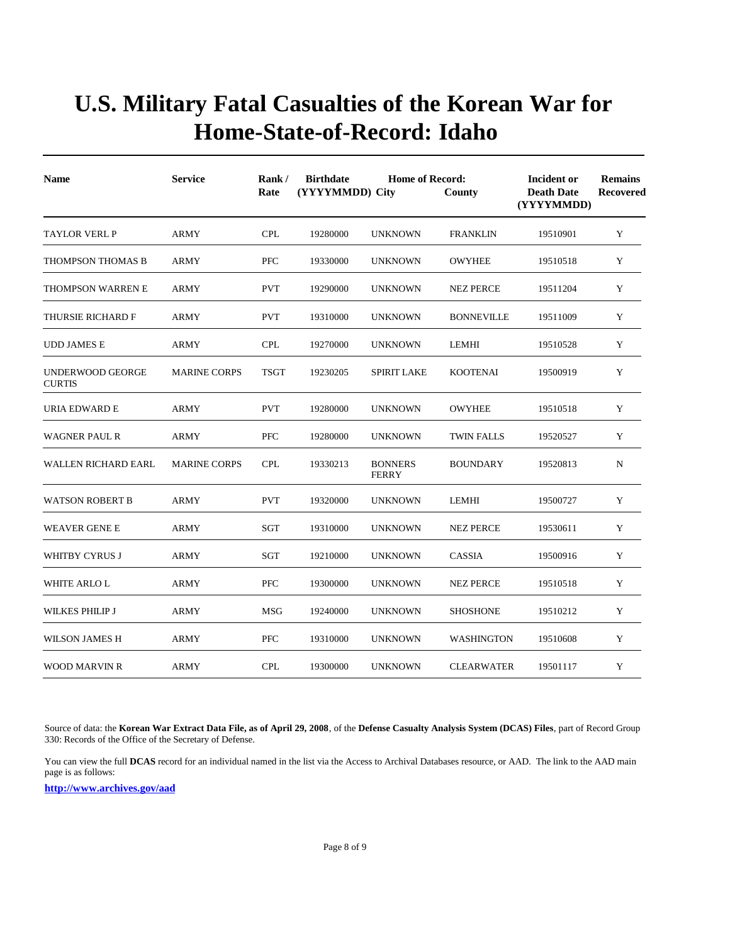| <b>Name</b>                       | <b>Service</b>      | Rank/<br>Rate | <b>Birthdate</b><br>(YYYYMMDD) City | <b>Home of Record:</b>         | County            | <b>Incident or</b><br><b>Death Date</b><br>(YYYYMMDD) | <b>Remains</b><br>Recovered |
|-----------------------------------|---------------------|---------------|-------------------------------------|--------------------------------|-------------------|-------------------------------------------------------|-----------------------------|
| TAYLOR VERL P                     | <b>ARMY</b>         | <b>CPL</b>    | 19280000                            | <b>UNKNOWN</b>                 | <b>FRANKLIN</b>   | 19510901                                              | Y                           |
| THOMPSON THOMAS B                 | <b>ARMY</b>         | <b>PFC</b>    | 19330000                            | <b>UNKNOWN</b>                 | <b>OWYHEE</b>     | 19510518                                              | Y                           |
| THOMPSON WARREN E                 | <b>ARMY</b>         | <b>PVT</b>    | 19290000                            | <b>UNKNOWN</b>                 | <b>NEZ PERCE</b>  | 19511204                                              | Y                           |
| THURSIE RICHARD F                 | <b>ARMY</b>         | <b>PVT</b>    | 19310000                            | <b>UNKNOWN</b>                 | <b>BONNEVILLE</b> | 19511009                                              | Y                           |
| <b>UDD JAMES E</b>                | ARMY                | <b>CPL</b>    | 19270000                            | <b>UNKNOWN</b>                 | <b>LEMHI</b>      | 19510528                                              | Y                           |
| UNDERWOOD GEORGE<br><b>CURTIS</b> | <b>MARINE CORPS</b> | <b>TSGT</b>   | 19230205                            | <b>SPIRIT LAKE</b>             | <b>KOOTENAI</b>   | 19500919                                              | Y                           |
| URIA EDWARD E                     | <b>ARMY</b>         | <b>PVT</b>    | 19280000                            | <b>UNKNOWN</b>                 | <b>OWYHEE</b>     | 19510518                                              | Y                           |
| <b>WAGNER PAUL R</b>              | <b>ARMY</b>         | <b>PFC</b>    | 19280000                            | <b>UNKNOWN</b>                 | <b>TWIN FALLS</b> | 19520527                                              | Y                           |
| WALLEN RICHARD EARL               | <b>MARINE CORPS</b> | <b>CPL</b>    | 19330213                            | <b>BONNERS</b><br><b>FERRY</b> | <b>BOUNDARY</b>   | 19520813                                              | $\mathbf N$                 |
| <b>WATSON ROBERT B</b>            | <b>ARMY</b>         | <b>PVT</b>    | 19320000                            | <b>UNKNOWN</b>                 | <b>LEMHI</b>      | 19500727                                              | Y                           |
| <b>WEAVER GENE E</b>              | <b>ARMY</b>         | <b>SGT</b>    | 19310000                            | <b>UNKNOWN</b>                 | <b>NEZ PERCE</b>  | 19530611                                              | Y                           |
| WHITBY CYRUS J                    | ARMY                | SGT           | 19210000                            | <b>UNKNOWN</b>                 | CASSIA            | 19500916                                              | Y                           |
| WHITE ARLO L                      | ARMY                | <b>PFC</b>    | 19300000                            | <b>UNKNOWN</b>                 | <b>NEZ PERCE</b>  | 19510518                                              | Y                           |
| WILKES PHILIP J                   | ARMY                | <b>MSG</b>    | 19240000                            | <b>UNKNOWN</b>                 | <b>SHOSHONE</b>   | 19510212                                              | Y                           |
| WILSON JAMES H                    | ARMY                | <b>PFC</b>    | 19310000                            | <b>UNKNOWN</b>                 | WASHINGTON        | 19510608                                              | Y                           |
| <b>WOOD MARVIN R</b>              | <b>ARMY</b>         | <b>CPL</b>    | 19300000                            | <b>UNKNOWN</b>                 | <b>CLEARWATER</b> | 19501117                                              | Y                           |

Source of data: the **Korean War Extract Data File, as of April 29, 2008**, of the **Defense Casualty Analysis System (DCAS) Files**, part of Record Group 330: Records of the Office of the Secretary of Defense.

You can view the full DCAS record for an individual named in the list via the Access to Archival Databases resource, or AAD. The link to the AAD main page is as follows: